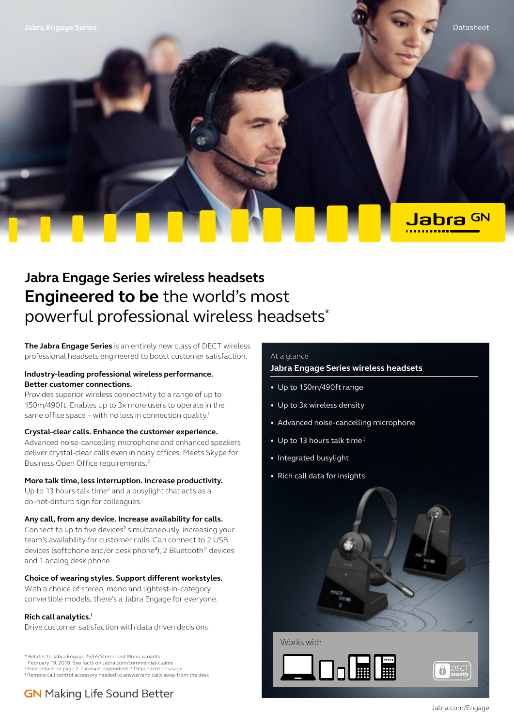Jabra GN

# **Jabra Engage Series wireless headsets Engineered to be** the world's most powerful professional wireless headsets\*

**The Jabra Engage Series** is an entirely new class of DECT wireless professional headsets engineered to boost customer satisfaction.

### **Industry-leading professional wireless performance. Better customer connections.**

Provides superior wireless connectivity to a range of up to 150m/490ft. Enables up to 3x more users to operate in the same office space – with no loss in connection quality.<sup>1</sup>

### **Crystal-clear calls. Enhance the customer experience.**

Advanced noise-cancelling microphone and enhanced speakers deliver crystal-clear calls even in noisy offices. Meets Skype for Business Open Office requirements.2

### **More talk time, less interruption. Increase productivity.**

Up to 13 hours talk time<sup>3</sup> and a busylight that acts as a do-not-disturb sign for colleagues.

### **Any call, from any device. Increase availability for calls.**

Connect to up to five devices<sup>2</sup> simultaneously, increasing your team's availability for customer calls. Can connect to 2 USB devices (softphone and/or desk phone<sup>4</sup> ), 2 Bluetooth® devices and 1 analog desk phone.

### **Choice of wearing styles. Support different workstyles.**

With a choice of stereo, mono and lightest-in-category convertible models, there's a Jabra Engage for everyone.

### **Rich call analytics.1**

Drive customer satisfaction with data driven decisions.

\* Relates to Jabra Engage 75/65 Stereo and Mono variants. February 19, 2018. See facts on Jabra.com/commercial-claims

<sup>1</sup> Find details on page 2<sup>2</sup> Variant dependent<sup>3</sup> Dependent on usage

4 Remote call control accessory needed to answer/end calls away from the desk

## **GN** Making Life Sound Better

### At a glance

### **Jabra Engage Series wireless headsets**

- Up to 150m/490ft range
- Up to 3x wireless density<sup>1</sup>
- Advanced noise-cancelling microphone
- Up to 13 hours talk time<sup>3</sup>
- Integrated busylight
- Rich call data for insights